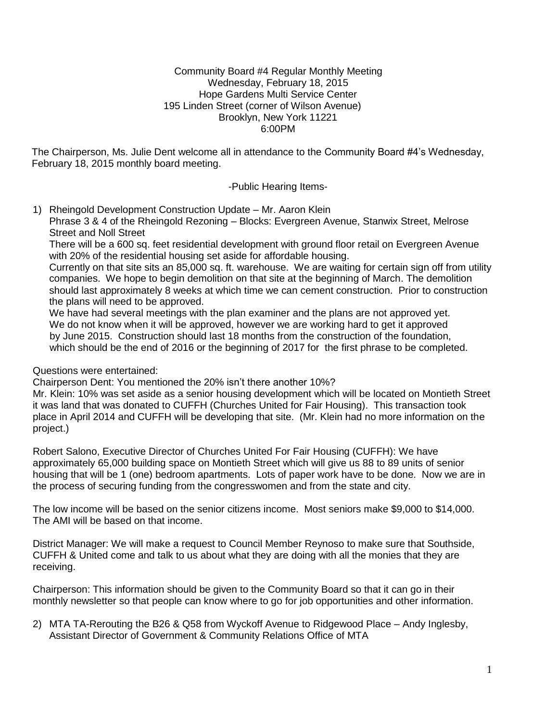#### Community Board #4 Regular Monthly Meeting Wednesday, February 18, 2015 Hope Gardens Multi Service Center 195 Linden Street (corner of Wilson Avenue) Brooklyn, New York 11221 6:00PM

The Chairperson, Ms. Julie Dent welcome all in attendance to the Community Board #4's Wednesday, February 18, 2015 monthly board meeting.

-Public Hearing Items-

1) Rheingold Development Construction Update – Mr. Aaron Klein Phrase 3 & 4 of the Rheingold Rezoning – Blocks: Evergreen Avenue, Stanwix Street, Melrose Street and Noll Street

There will be a 600 sq. feet residential development with ground floor retail on Evergreen Avenue with 20% of the residential housing set aside for affordable housing.

Currently on that site sits an 85,000 sq. ft. warehouse. We are waiting for certain sign off from utility companies. We hope to begin demolition on that site at the beginning of March. The demolition should last approximately 8 weeks at which time we can cement construction. Prior to construction the plans will need to be approved.

We have had several meetings with the plan examiner and the plans are not approved yet. We do not know when it will be approved, however we are working hard to get it approved by June 2015. Construction should last 18 months from the construction of the foundation, which should be the end of 2016 or the beginning of 2017 for the first phrase to be completed.

Questions were entertained:

Chairperson Dent: You mentioned the 20% isn't there another 10%?

Mr. Klein: 10% was set aside as a senior housing development which will be located on Montieth Street it was land that was donated to CUFFH (Churches United for Fair Housing). This transaction took place in April 2014 and CUFFH will be developing that site. (Mr. Klein had no more information on the project.)

Robert Salono, Executive Director of Churches United For Fair Housing (CUFFH): We have approximately 65,000 building space on Montieth Street which will give us 88 to 89 units of senior housing that will be 1 (one) bedroom apartments. Lots of paper work have to be done. Now we are in the process of securing funding from the congresswomen and from the state and city.

The low income will be based on the senior citizens income. Most seniors make \$9,000 to \$14,000. The AMI will be based on that income.

District Manager: We will make a request to Council Member Reynoso to make sure that Southside, CUFFH & United come and talk to us about what they are doing with all the monies that they are receiving.

Chairperson: This information should be given to the Community Board so that it can go in their monthly newsletter so that people can know where to go for job opportunities and other information.

2) MTA TA-Rerouting the B26 & Q58 from Wyckoff Avenue to Ridgewood Place – Andy Inglesby, Assistant Director of Government & Community Relations Office of MTA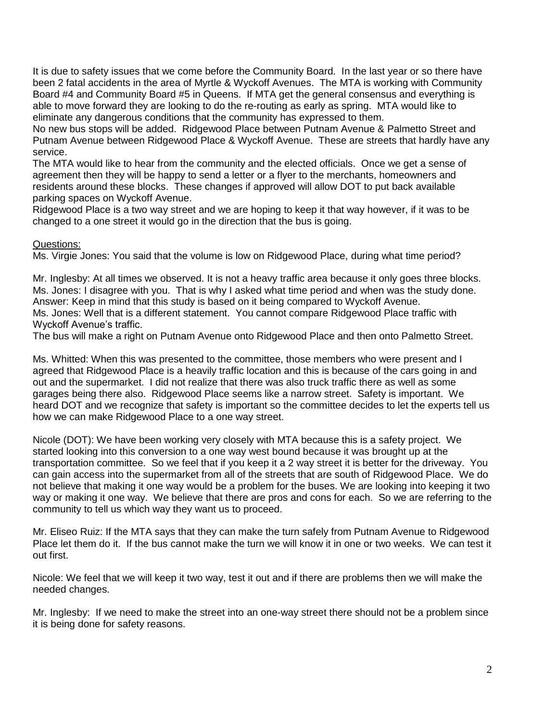It is due to safety issues that we come before the Community Board. In the last year or so there have been 2 fatal accidents in the area of Myrtle & Wyckoff Avenues. The MTA is working with Community Board #4 and Community Board #5 in Queens. If MTA get the general consensus and everything is able to move forward they are looking to do the re-routing as early as spring. MTA would like to eliminate any dangerous conditions that the community has expressed to them.

No new bus stops will be added. Ridgewood Place between Putnam Avenue & Palmetto Street and Putnam Avenue between Ridgewood Place & Wyckoff Avenue. These are streets that hardly have any service.

 The MTA would like to hear from the community and the elected officials. Once we get a sense of agreement then they will be happy to send a letter or a flyer to the merchants, homeowners and residents around these blocks. These changes if approved will allow DOT to put back available parking spaces on Wyckoff Avenue.

 Ridgewood Place is a two way street and we are hoping to keep it that way however, if it was to be changed to a one street it would go in the direction that the bus is going.

#### Questions:

Ms. Virgie Jones: You said that the volume is low on Ridgewood Place, during what time period?

Mr. Inglesby: At all times we observed. It is not a heavy traffic area because it only goes three blocks. Ms. Jones: I disagree with you. That is why I asked what time period and when was the study done. Answer: Keep in mind that this study is based on it being compared to Wyckoff Avenue. Ms. Jones: Well that is a different statement. You cannot compare Ridgewood Place traffic with Wyckoff Avenue's traffic.

The bus will make a right on Putnam Avenue onto Ridgewood Place and then onto Palmetto Street.

Ms. Whitted: When this was presented to the committee, those members who were present and I agreed that Ridgewood Place is a heavily traffic location and this is because of the cars going in and out and the supermarket. I did not realize that there was also truck traffic there as well as some garages being there also. Ridgewood Place seems like a narrow street. Safety is important. We heard DOT and we recognize that safety is important so the committee decides to let the experts tell us how we can make Ridgewood Place to a one way street.

Nicole (DOT): We have been working very closely with MTA because this is a safety project. We started looking into this conversion to a one way west bound because it was brought up at the transportation committee. So we feel that if you keep it a 2 way street it is better for the driveway. You can gain access into the supermarket from all of the streets that are south of Ridgewood Place. We do not believe that making it one way would be a problem for the buses. We are looking into keeping it two way or making it one way. We believe that there are pros and cons for each. So we are referring to the community to tell us which way they want us to proceed.

Mr. Eliseo Ruiz: If the MTA says that they can make the turn safely from Putnam Avenue to Ridgewood Place let them do it. If the bus cannot make the turn we will know it in one or two weeks. We can test it out first.

Nicole: We feel that we will keep it two way, test it out and if there are problems then we will make the needed changes.

Mr. Inglesby: If we need to make the street into an one-way street there should not be a problem since it is being done for safety reasons.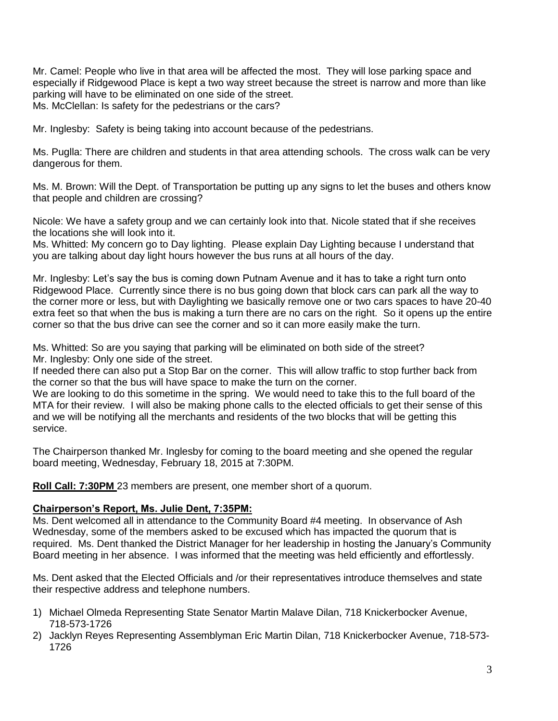Mr. Camel: People who live in that area will be affected the most. They will lose parking space and especially if Ridgewood Place is kept a two way street because the street is narrow and more than like parking will have to be eliminated on one side of the street. Ms. McClellan: Is safety for the pedestrians or the cars?

Mr. Inglesby: Safety is being taking into account because of the pedestrians.

Ms. Puglla: There are children and students in that area attending schools. The cross walk can be very dangerous for them.

Ms. M. Brown: Will the Dept. of Transportation be putting up any signs to let the buses and others know that people and children are crossing?

Nicole: We have a safety group and we can certainly look into that. Nicole stated that if she receives the locations she will look into it.

Ms. Whitted: My concern go to Day lighting. Please explain Day Lighting because I understand that you are talking about day light hours however the bus runs at all hours of the day.

Mr. Inglesby: Let's say the bus is coming down Putnam Avenue and it has to take a right turn onto Ridgewood Place. Currently since there is no bus going down that block cars can park all the way to the corner more or less, but with Daylighting we basically remove one or two cars spaces to have 20-40 extra feet so that when the bus is making a turn there are no cars on the right. So it opens up the entire corner so that the bus drive can see the corner and so it can more easily make the turn.

Ms. Whitted: So are you saying that parking will be eliminated on both side of the street? Mr. Inglesby: Only one side of the street.

If needed there can also put a Stop Bar on the corner. This will allow traffic to stop further back from the corner so that the bus will have space to make the turn on the corner.

We are looking to do this sometime in the spring. We would need to take this to the full board of the MTA for their review. I will also be making phone calls to the elected officials to get their sense of this and we will be notifying all the merchants and residents of the two blocks that will be getting this service.

The Chairperson thanked Mr. Inglesby for coming to the board meeting and she opened the regular board meeting, Wednesday, February 18, 2015 at 7:30PM.

**Roll Call: 7:30PM** 23 members are present, one member short of a quorum.

## **Chairperson's Report, Ms. Julie Dent, 7:35PM:**

Ms. Dent welcomed all in attendance to the Community Board #4 meeting. In observance of Ash Wednesday, some of the members asked to be excused which has impacted the quorum that is required. Ms. Dent thanked the District Manager for her leadership in hosting the January's Community Board meeting in her absence. I was informed that the meeting was held efficiently and effortlessly.

Ms. Dent asked that the Elected Officials and /or their representatives introduce themselves and state their respective address and telephone numbers.

- 1) Michael Olmeda Representing State Senator Martin Malave Dilan, 718 Knickerbocker Avenue, 718-573-1726
- 2) Jacklyn Reyes Representing Assemblyman Eric Martin Dilan, 718 Knickerbocker Avenue, 718-573- 1726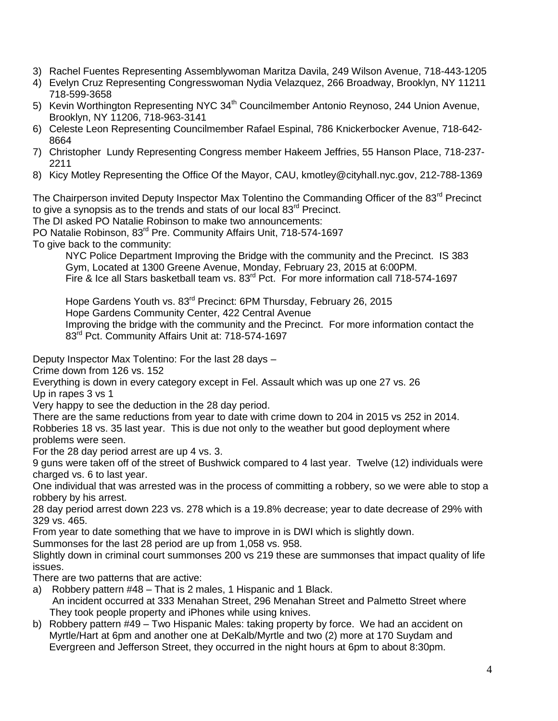- 3) Rachel Fuentes Representing Assemblywoman Maritza Davila, 249 Wilson Avenue, 718-443-1205
- 4) Evelyn Cruz Representing Congresswoman Nydia Velazquez, 266 Broadway, Brooklyn, NY 11211 718-599-3658
- 5) Kevin Worthington Representing NYC 34<sup>th</sup> Councilmember Antonio Reynoso, 244 Union Avenue, Brooklyn, NY 11206, 718-963-3141
- 6) Celeste Leon Representing Councilmember Rafael Espinal, 786 Knickerbocker Avenue, 718-642- 8664
- 7) Christopher Lundy Representing Congress member Hakeem Jeffries, 55 Hanson Place, 718-237- 2211
- 8) Kicy Motley Representing the Office Of the Mayor, CAU, kmotley@cityhall.nyc.gov, 212-788-1369

The Chairperson invited Deputy Inspector Max Tolentino the Commanding Officer of the 83<sup>rd</sup> Precinct to give a synopsis as to the trends and stats of our local  $83<sup>rd</sup>$  Precinct.

The DI asked PO Natalie Robinson to make two announcements:

PO Natalie Robinson, 83<sup>rd</sup> Pre. Community Affairs Unit, 718-574-1697

To give back to the community:

NYC Police Department Improving the Bridge with the community and the Precinct. IS 383 Gym, Located at 1300 Greene Avenue, Monday, February 23, 2015 at 6:00PM. Fire & Ice all Stars basketball team vs. 83<sup>rd</sup> Pct. For more information call 718-574-1697

Hope Gardens Youth vs. 83<sup>rd</sup> Precinct: 6PM Thursday, February 26, 2015 Hope Gardens Community Center, 422 Central Avenue Improving the bridge with the community and the Precinct. For more information contact the 83<sup>rd</sup> Pct. Community Affairs Unit at: 718-574-1697

Deputy Inspector Max Tolentino: For the last 28 days –

Crime down from 126 vs. 152

Everything is down in every category except in Fel. Assault which was up one 27 vs. 26

Up in rapes 3 vs 1

Very happy to see the deduction in the 28 day period.

There are the same reductions from year to date with crime down to 204 in 2015 vs 252 in 2014. Robberies 18 vs. 35 last year. This is due not only to the weather but good deployment where problems were seen.

For the 28 day period arrest are up 4 vs. 3.

9 guns were taken off of the street of Bushwick compared to 4 last year. Twelve (12) individuals were charged vs. 6 to last year.

One individual that was arrested was in the process of committing a robbery, so we were able to stop a robbery by his arrest.

28 day period arrest down 223 vs. 278 which is a 19.8% decrease; year to date decrease of 29% with 329 vs. 465.

From year to date something that we have to improve in is DWI which is slightly down.

Summonses for the last 28 period are up from 1,058 vs. 958.

Slightly down in criminal court summonses 200 vs 219 these are summonses that impact quality of life issues.

There are two patterns that are active:

- a) Robbery pattern #48 That is 2 males, 1 Hispanic and 1 Black. An incident occurred at 333 Menahan Street, 296 Menahan Street and Palmetto Street where They took people property and iPhones while using knives.
- b) Robbery pattern #49 Two Hispanic Males: taking property by force. We had an accident on Myrtle/Hart at 6pm and another one at DeKalb/Myrtle and two (2) more at 170 Suydam and Evergreen and Jefferson Street, they occurred in the night hours at 6pm to about 8:30pm.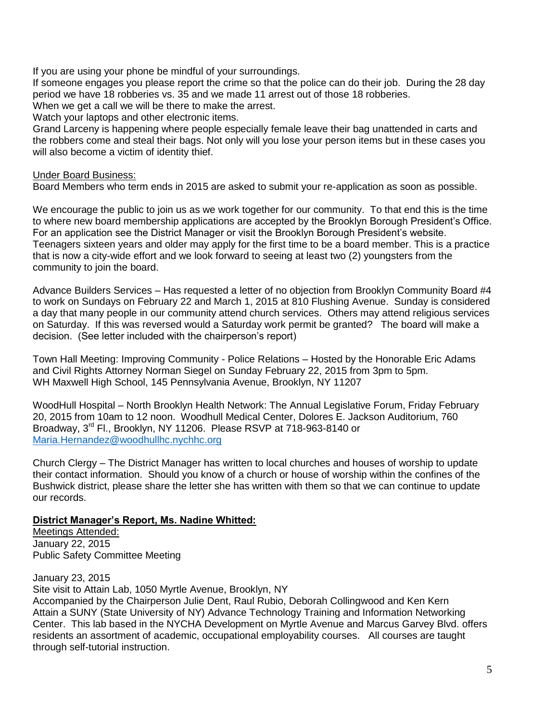If you are using your phone be mindful of your surroundings.

If someone engages you please report the crime so that the police can do their job. During the 28 day period we have 18 robberies vs. 35 and we made 11 arrest out of those 18 robberies.

When we get a call we will be there to make the arrest.

Watch your laptops and other electronic items.

Grand Larceny is happening where people especially female leave their bag unattended in carts and the robbers come and steal their bags. Not only will you lose your person items but in these cases you will also become a victim of identity thief.

#### Under Board Business:

Board Members who term ends in 2015 are asked to submit your re-application as soon as possible.

We encourage the public to join us as we work together for our community. To that end this is the time to where new board membership applications are accepted by the Brooklyn Borough President's Office. For an application see the District Manager or visit the Brooklyn Borough President's website. Teenagers sixteen years and older may apply for the first time to be a board member. This is a practice that is now a city-wide effort and we look forward to seeing at least two (2) youngsters from the community to join the board.

Advance Builders Services – Has requested a letter of no objection from Brooklyn Community Board #4 to work on Sundays on February 22 and March 1, 2015 at 810 Flushing Avenue. Sunday is considered a day that many people in our community attend church services. Others may attend religious services on Saturday. If this was reversed would a Saturday work permit be granted? The board will make a decision. (See letter included with the chairperson's report)

Town Hall Meeting: Improving Community - Police Relations – Hosted by the Honorable Eric Adams and Civil Rights Attorney Norman Siegel on Sunday February 22, 2015 from 3pm to 5pm. WH Maxwell High School, 145 Pennsylvania Avenue, Brooklyn, NY 11207

WoodHull Hospital – North Brooklyn Health Network: The Annual Legislative Forum, Friday February 20, 2015 from 10am to 12 noon. Woodhull Medical Center, Dolores E. Jackson Auditorium, 760 Broadway, 3<sup>rd</sup> Fl., Brooklyn, NY 11206. Please RSVP at 718-963-8140 or [Maria.Hernandez@woodhullhc.nychhc.org](mailto:Maria.Hernandez@woodhullhc.nychhc.org)

Church Clergy – The District Manager has written to local churches and houses of worship to update their contact information. Should you know of a church or house of worship within the confines of the Bushwick district, please share the letter she has written with them so that we can continue to update our records.

## **District Manager's Report, Ms. Nadine Whitted:**

Meetings Attended: January 22, 2015 Public Safety Committee Meeting

January 23, 2015

Site visit to Attain Lab, 1050 Myrtle Avenue, Brooklyn, NY

Accompanied by the Chairperson Julie Dent, Raul Rubio, Deborah Collingwood and Ken Kern Attain a SUNY (State University of NY) Advance Technology Training and Information Networking Center. This lab based in the NYCHA Development on Myrtle Avenue and Marcus Garvey Blvd. offers residents an assortment of academic, occupational employability courses. All courses are taught through self-tutorial instruction.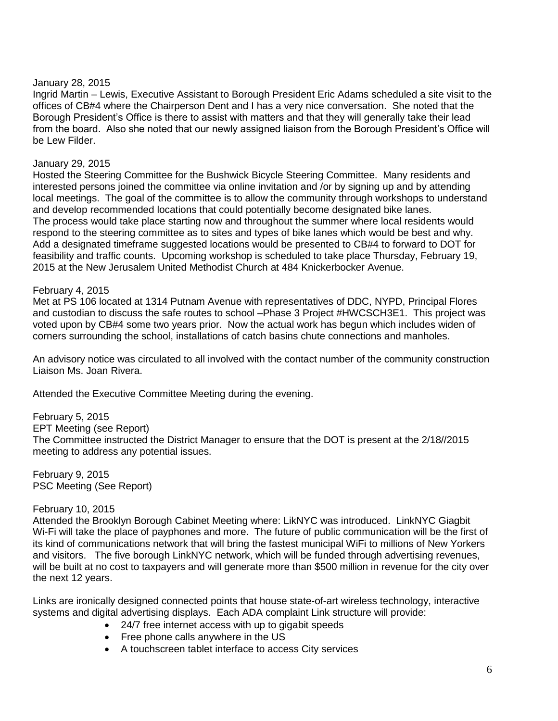#### January 28, 2015

Ingrid Martin – Lewis, Executive Assistant to Borough President Eric Adams scheduled a site visit to the offices of CB#4 where the Chairperson Dent and I has a very nice conversation. She noted that the Borough President's Office is there to assist with matters and that they will generally take their lead from the board. Also she noted that our newly assigned liaison from the Borough President's Office will be Lew Filder.

## January 29, 2015

Hosted the Steering Committee for the Bushwick Bicycle Steering Committee. Many residents and interested persons joined the committee via online invitation and /or by signing up and by attending local meetings. The goal of the committee is to allow the community through workshops to understand and develop recommended locations that could potentially become designated bike lanes. The process would take place starting now and throughout the summer where local residents would respond to the steering committee as to sites and types of bike lanes which would be best and why. Add a designated timeframe suggested locations would be presented to CB#4 to forward to DOT for feasibility and traffic counts. Upcoming workshop is scheduled to take place Thursday, February 19, 2015 at the New Jerusalem United Methodist Church at 484 Knickerbocker Avenue.

## February 4, 2015

Met at PS 106 located at 1314 Putnam Avenue with representatives of DDC, NYPD, Principal Flores and custodian to discuss the safe routes to school –Phase 3 Project #HWCSCH3E1. This project was voted upon by CB#4 some two years prior. Now the actual work has begun which includes widen of corners surrounding the school, installations of catch basins chute connections and manholes.

An advisory notice was circulated to all involved with the contact number of the community construction Liaison Ms. Joan Rivera.

Attended the Executive Committee Meeting during the evening.

February 5, 2015 EPT Meeting (see Report) The Committee instructed the District Manager to ensure that the DOT is present at the 2/18//2015 meeting to address any potential issues.

February 9, 2015 PSC Meeting (See Report)

## February 10, 2015

Attended the Brooklyn Borough Cabinet Meeting where: LikNYC was introduced. LinkNYC Giagbit Wi-Fi will take the place of payphones and more. The future of public communication will be the first of its kind of communications network that will bring the fastest municipal WiFi to millions of New Yorkers and visitors. The five borough LinkNYC network, which will be funded through advertising revenues, will be built at no cost to taxpayers and will generate more than \$500 million in revenue for the city over the next 12 years.

Links are ironically designed connected points that house state-of-art wireless technology, interactive systems and digital advertising displays. Each ADA complaint Link structure will provide:

- 24/7 free internet access with up to gigabit speeds
- Free phone calls anywhere in the US
- A touchscreen tablet interface to access City services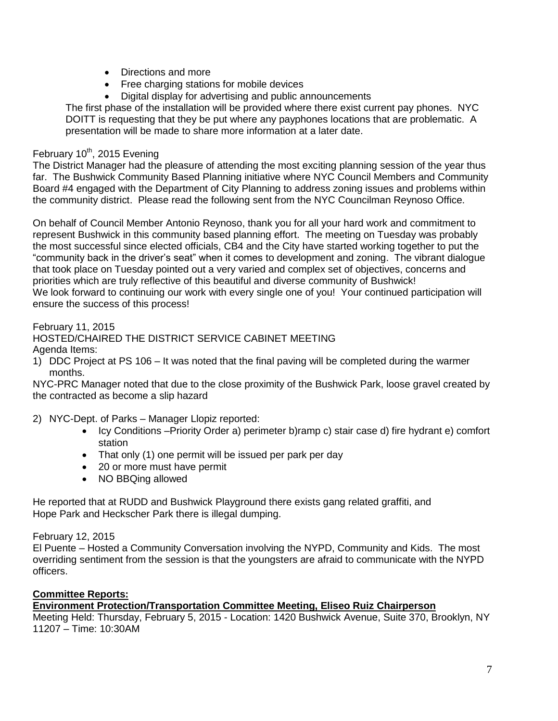- Directions and more
- Free charging stations for mobile devices
- Digital display for advertising and public announcements

The first phase of the installation will be provided where there exist current pay phones. NYC DOITT is requesting that they be put where any payphones locations that are problematic. A presentation will be made to share more information at a later date.

# February 10<sup>th</sup>, 2015 Evening

The District Manager had the pleasure of attending the most exciting planning session of the year thus far. The Bushwick Community Based Planning initiative where NYC Council Members and Community Board #4 engaged with the Department of City Planning to address zoning issues and problems within the community district. Please read the following sent from the NYC Councilman Reynoso Office.

On behalf of Council Member Antonio Reynoso, thank you for all your hard work and commitment to represent Bushwick in this community based planning effort. The meeting on Tuesday was probably the most successful since elected officials, CB4 and the City have started working together to put the "community back in the driver's seat" when it comes to development and zoning. The vibrant dialogue that took place on Tuesday pointed out a very varied and complex set of objectives, concerns and priorities which are truly reflective of this beautiful and diverse community of Bushwick! We look forward to continuing our work with every single one of you! Your continued participation will ensure the success of this process!

February 11, 2015

# HOSTED/CHAIRED THE DISTRICT SERVICE CABINET MEETING

- Agenda Items:
- 1) DDC Project at PS 106 It was noted that the final paving will be completed during the warmer months.

NYC-PRC Manager noted that due to the close proximity of the Bushwick Park, loose gravel created by the contracted as become a slip hazard

- 2) NYC-Dept. of Parks Manager Llopiz reported:
	- Icy Conditions –Priority Order a) perimeter b)ramp c) stair case d) fire hydrant e) comfort station
	- That only (1) one permit will be issued per park per day
	- 20 or more must have permit
	- NO BBQing allowed

He reported that at RUDD and Bushwick Playground there exists gang related graffiti, and Hope Park and Heckscher Park there is illegal dumping.

February 12, 2015

El Puente – Hosted a Community Conversation involving the NYPD, Community and Kids. The most overriding sentiment from the session is that the youngsters are afraid to communicate with the NYPD officers.

## **Committee Reports:**

## **Environment Protection/Transportation Committee Meeting, Eliseo Ruiz Chairperson**

Meeting Held: Thursday, February 5, 2015 - Location: 1420 Bushwick Avenue, Suite 370, Brooklyn, NY 11207 – Time: 10:30AM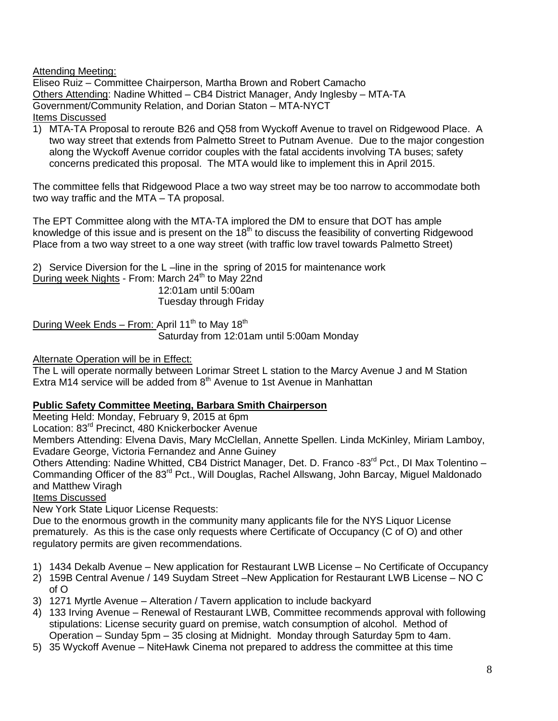Attending Meeting:

Eliseo Ruiz – Committee Chairperson, Martha Brown and Robert Camacho Others Attending: Nadine Whitted – CB4 District Manager, Andy Inglesby – MTA-TA Government/Community Relation, and Dorian Staton – MTA-NYCT Items Discussed

1) MTA-TA Proposal to reroute B26 and Q58 from Wyckoff Avenue to travel on Ridgewood Place. A two way street that extends from Palmetto Street to Putnam Avenue. Due to the major congestion along the Wyckoff Avenue corridor couples with the fatal accidents involving TA buses; safety concerns predicated this proposal. The MTA would like to implement this in April 2015.

The committee fells that Ridgewood Place a two way street may be too narrow to accommodate both two way traffic and the MTA – TA proposal.

The EPT Committee along with the MTA-TA implored the DM to ensure that DOT has ample knowledge of this issue and is present on the  $18<sup>th</sup>$  to discuss the feasibility of converting Ridgewood Place from a two way street to a one way street (with traffic low travel towards Palmetto Street)

2) Service Diversion for the L –line in the spring of 2015 for maintenance work During week Nights - From: March  $24<sup>th</sup>$  to May 22nd 12:01am until 5:00am Tuesday through Friday

During Week Ends – From: April 11<sup>th</sup> to May 18<sup>th</sup> Saturday from 12:01am until 5:00am Monday

**Alternate Operation will be in Effect:** 

The L will operate normally between Lorimar Street L station to the Marcy Avenue J and M Station Extra M14 service will be added from  $8<sup>th</sup>$  Avenue to 1st Avenue in Manhattan

# **Public Safety Committee Meeting, Barbara Smith Chairperson**

Meeting Held: Monday, February 9, 2015 at 6pm

Location: 83rd Precinct, 480 Knickerbocker Avenue

Members Attending: Elvena Davis, Mary McClellan, Annette Spellen. Linda McKinley, Miriam Lamboy, Evadare George, Victoria Fernandez and Anne Guiney

Others Attending: Nadine Whitted, CB4 District Manager, Det. D. Franco -83<sup>rd</sup> Pct., DI Max Tolentino – Commanding Officer of the 83<sup>rd</sup> Pct., Will Douglas, Rachel Allswang, John Barcay, Miguel Maldonado and Matthew Viragh

Items Discussed

New York State Liquor License Requests:

Due to the enormous growth in the community many applicants file for the NYS Liquor License prematurely. As this is the case only requests where Certificate of Occupancy (C of O) and other regulatory permits are given recommendations.

- 1) 1434 Dekalb Avenue New application for Restaurant LWB License No Certificate of Occupancy
- 2) 159B Central Avenue / 149 Suydam Street –New Application for Restaurant LWB License NO C of O
- 3) 1271 Myrtle Avenue Alteration / Tavern application to include backyard
- 4) 133 Irving Avenue Renewal of Restaurant LWB, Committee recommends approval with following stipulations: License security guard on premise, watch consumption of alcohol. Method of Operation – Sunday 5pm – 35 closing at Midnight. Monday through Saturday 5pm to 4am.
- 5) 35 Wyckoff Avenue NiteHawk Cinema not prepared to address the committee at this time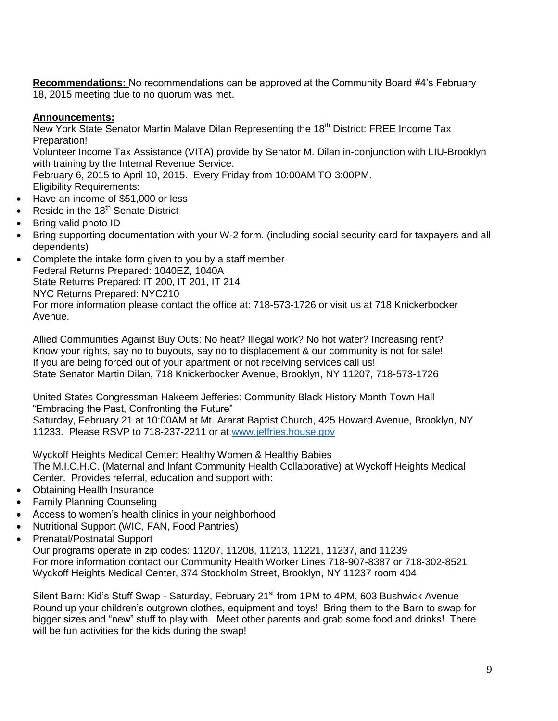**Recommendations:** No recommendations can be approved at the Community Board #4's February 18, 2015 meeting due to no quorum was met.

# **Announcements:**

New York State Senator Martin Malave Dilan Representing the 18<sup>th</sup> District: FREE Income Tax Preparation!

Volunteer Income Tax Assistance (VITA) provide by Senator M. Dilan in-conjunction with LIU-Brooklyn with training by the Internal Revenue Service.

February 6, 2015 to April 10, 2015. Every Friday from 10:00AM TO 3:00PM.

Eligibility Requirements:

- Have an income of \$51,000 or less
- Reside in the 18<sup>th</sup> Senate District
- Bring valid photo ID
- Bring supporting documentation with your W-2 form. (including social security card for taxpayers and all dependents)
- Complete the intake form given to you by a staff member Federal Returns Prepared: 1040EZ, 1040A State Returns Prepared: IT 200, IT 201, IT 214 NYC Returns Prepared: NYC210 For more information please contact the office at: 718-573-1726 or visit us at 718 Knickerbocker Avenue.

Allied Communities Against Buy Outs: No heat? Illegal work? No hot water? Increasing rent? Know your rights, say no to buyouts, say no to displacement & our community is not for sale! If you are being forced out of your apartment or not receiving services call us! State Senator Martin Dilan, 718 Knickerbocker Avenue, Brooklyn, NY 11207, 718-573-1726

United States Congressman Hakeem Jefferies: Community Black History Month Town Hall "Embracing the Past, Confronting the Future"

Saturday, February 21 at 10:00AM at Mt. Ararat Baptist Church, 425 Howard Avenue, Brooklyn, NY 11233. Please RSVP to 718-237-2211 or at [www.jeffries.house.gov](http://www.jeffries.house.gov/)

Wyckoff Heights Medical Center: Healthy Women & Healthy Babies The M.I.C.H.C. (Maternal and Infant Community Health Collaborative) at Wyckoff Heights Medical Center. Provides referral, education and support with:

- Obtaining Health Insurance
- Family Planning Counseling
- Access to women's health clinics in your neighborhood
- Nutritional Support (WIC, FAN, Food Pantries)
- Prenatal/Postnatal Support

Our programs operate in zip codes: 11207, 11208, 11213, 11221, 11237, and 11239 For more information contact our Community Health Worker Lines 718-907-8387 or 718-302-8521 Wyckoff Heights Medical Center, 374 Stockholm Street, Brooklyn, NY 11237 room 404

Silent Barn: Kid's Stuff Swap - Saturday, February 21<sup>st</sup> from 1PM to 4PM, 603 Bushwick Avenue Round up your children's outgrown clothes, equipment and toys! Bring them to the Barn to swap for bigger sizes and "new" stuff to play with. Meet other parents and grab some food and drinks! There will be fun activities for the kids during the swap!